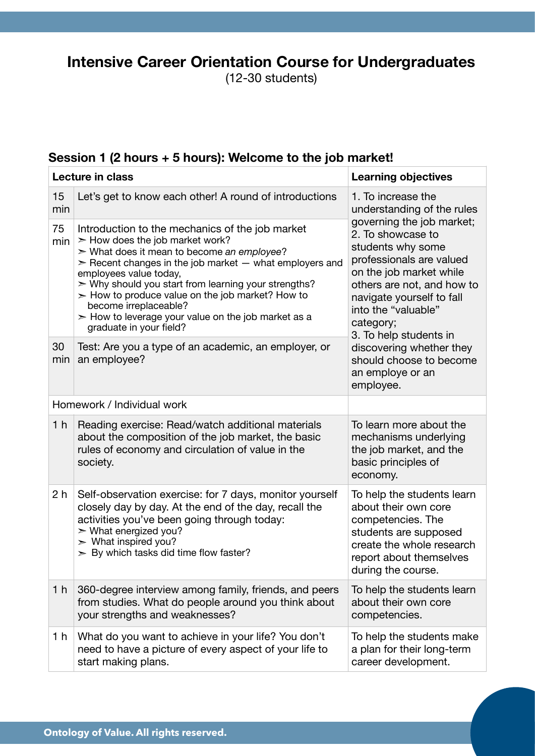# **Intensive Career Orientation Course for Undergraduates**

(12-30 students)

### **Session 1 (2 hours + 5 hours): Welcome to the job market!**

| <b>Lecture in class</b>    |                                                                                                                                                                                                                                                                                                                                                                                                                                                                               | <b>Learning objectives</b>                                                                                                                                                                                                                                                                              |  |
|----------------------------|-------------------------------------------------------------------------------------------------------------------------------------------------------------------------------------------------------------------------------------------------------------------------------------------------------------------------------------------------------------------------------------------------------------------------------------------------------------------------------|---------------------------------------------------------------------------------------------------------------------------------------------------------------------------------------------------------------------------------------------------------------------------------------------------------|--|
| 15<br>min                  | Let's get to know each other! A round of introductions                                                                                                                                                                                                                                                                                                                                                                                                                        | 1. To increase the<br>understanding of the rules<br>governing the job market;<br>2. To showcase to<br>students why some<br>professionals are valued<br>on the job market while<br>others are not, and how to<br>navigate yourself to fall<br>into the "valuable"<br>category;<br>3. To help students in |  |
| 75<br>min                  | Introduction to the mechanics of the job market<br>$\geq$ How does the job market work?<br>$\triangleright$ What does it mean to become an employee?<br>$\geq$ Recent changes in the job market $-$ what employers and<br>employees value today,<br>$>$ Why should you start from learning your strengths?<br>$>$ How to produce value on the job market? How to<br>become irreplaceable?<br>$>$ How to leverage your value on the job market as a<br>graduate in your field? |                                                                                                                                                                                                                                                                                                         |  |
| 30<br>min                  | Test: Are you a type of an academic, an employer, or<br>an employee?                                                                                                                                                                                                                                                                                                                                                                                                          | discovering whether they<br>should choose to become<br>an employe or an<br>employee.                                                                                                                                                                                                                    |  |
| Homework / Individual work |                                                                                                                                                                                                                                                                                                                                                                                                                                                                               |                                                                                                                                                                                                                                                                                                         |  |
| 1 <sub>h</sub>             | Reading exercise: Read/watch additional materials<br>about the composition of the job market, the basic<br>rules of economy and circulation of value in the<br>society.                                                                                                                                                                                                                                                                                                       | To learn more about the<br>mechanisms underlying<br>the job market, and the<br>basic principles of<br>economy.                                                                                                                                                                                          |  |
| 2 h                        | Self-observation exercise: for 7 days, monitor yourself<br>closely day by day. At the end of the day, recall the<br>activities you've been going through today:<br>$>$ What energized you?<br>$>$ What inspired you?<br>$>$ By which tasks did time flow faster?                                                                                                                                                                                                              | To help the students learn<br>about their own core<br>competencies. The<br>students are supposed<br>create the whole research<br>report about themselves<br>during the course.                                                                                                                          |  |
| 1 <sub>h</sub>             | 360-degree interview among family, friends, and peers<br>from studies. What do people around you think about<br>your strengths and weaknesses?                                                                                                                                                                                                                                                                                                                                | To help the students learn<br>about their own core<br>competencies.                                                                                                                                                                                                                                     |  |
| 1 h                        | What do you want to achieve in your life? You don't<br>need to have a picture of every aspect of your life to<br>start making plans.                                                                                                                                                                                                                                                                                                                                          | To help the students make<br>a plan for their long-term<br>career development.                                                                                                                                                                                                                          |  |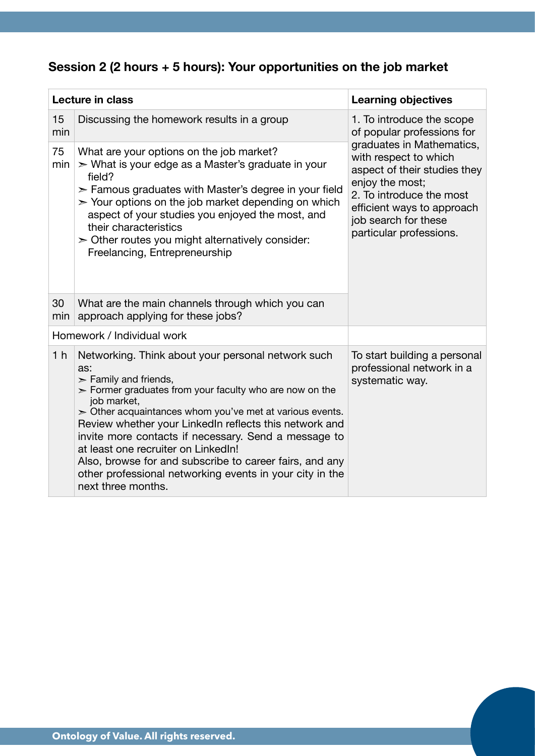## **Session 2 (2 hours + 5 hours): Your opportunities on the job market**

| <b>Lecture in class</b> |                                                                                                                                                                                                                                                                                                                                                                                                                                                                                                                                        | <b>Learning objectives</b>                                                                                                                                                                                                                                                    |  |
|-------------------------|----------------------------------------------------------------------------------------------------------------------------------------------------------------------------------------------------------------------------------------------------------------------------------------------------------------------------------------------------------------------------------------------------------------------------------------------------------------------------------------------------------------------------------------|-------------------------------------------------------------------------------------------------------------------------------------------------------------------------------------------------------------------------------------------------------------------------------|--|
| 15<br>min               | Discussing the homework results in a group                                                                                                                                                                                                                                                                                                                                                                                                                                                                                             | 1. To introduce the scope<br>of popular professions for<br>graduates in Mathematics,<br>with respect to which<br>aspect of their studies they<br>enjoy the most;<br>2. To introduce the most<br>efficient ways to approach<br>job search for these<br>particular professions. |  |
| 75<br>min               | What are your options on the job market?<br>> What is your edge as a Master's graduate in your<br>field?<br>$\ge$ Famous graduates with Master's degree in your field<br>$>$ Your options on the job market depending on which<br>aspect of your studies you enjoyed the most, and<br>their characteristics<br>$\geq$ Other routes you might alternatively consider:<br>Freelancing, Entrepreneurship                                                                                                                                  |                                                                                                                                                                                                                                                                               |  |
| 30<br>min               | What are the main channels through which you can<br>approach applying for these jobs?                                                                                                                                                                                                                                                                                                                                                                                                                                                  |                                                                                                                                                                                                                                                                               |  |
|                         | Homework / Individual work                                                                                                                                                                                                                                                                                                                                                                                                                                                                                                             |                                                                                                                                                                                                                                                                               |  |
| 1 <sub>h</sub>          | Networking. Think about your personal network such<br>as:<br>$\ge$ Family and friends,<br>$>$ Former graduates from your faculty who are now on the<br>job market,<br>$>$ Other acquaintances whom you've met at various events.<br>Review whether your LinkedIn reflects this network and<br>invite more contacts if necessary. Send a message to<br>at least one recruiter on LinkedIn!<br>Also, browse for and subscribe to career fairs, and any<br>other professional networking events in your city in the<br>next three months. | To start building a personal<br>professional network in a<br>systematic way.                                                                                                                                                                                                  |  |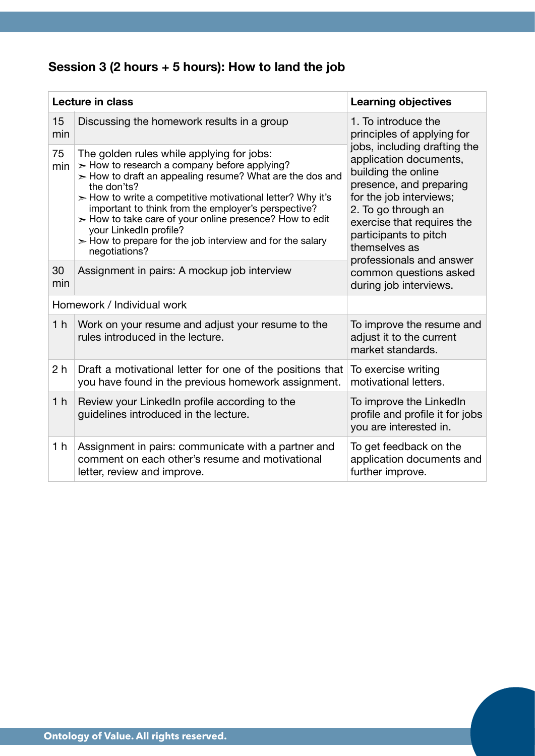## **Session 3 (2 hours + 5 hours): How to land the job**

| <b>Lecture in class</b>    |                                                                                                                                                                                                                                                                                                                                                                                                                                                                        | <b>Learning objectives</b>                                                                                                                                                                                                                                     |  |
|----------------------------|------------------------------------------------------------------------------------------------------------------------------------------------------------------------------------------------------------------------------------------------------------------------------------------------------------------------------------------------------------------------------------------------------------------------------------------------------------------------|----------------------------------------------------------------------------------------------------------------------------------------------------------------------------------------------------------------------------------------------------------------|--|
| 15<br>min                  | Discussing the homework results in a group                                                                                                                                                                                                                                                                                                                                                                                                                             | 1. To introduce the<br>principles of applying for                                                                                                                                                                                                              |  |
| 75<br>min                  | The golden rules while applying for jobs:<br>$>$ How to research a company before applying?<br>$>$ How to draft an appealing resume? What are the dos and<br>the don'ts?<br>$>$ How to write a competitive motivational letter? Why it's<br>important to think from the employer's perspective?<br>$>$ How to take care of your online presence? How to edit<br>your LinkedIn profile?<br>$>$ How to prepare for the job interview and for the salary<br>negotiations? | jobs, including drafting the<br>application documents,<br>building the online<br>presence, and preparing<br>for the job interviews;<br>2. To go through an<br>exercise that requires the<br>participants to pitch<br>themselves as<br>professionals and answer |  |
| 30<br>min                  | Assignment in pairs: A mockup job interview                                                                                                                                                                                                                                                                                                                                                                                                                            | common questions asked<br>during job interviews.                                                                                                                                                                                                               |  |
| Homework / Individual work |                                                                                                                                                                                                                                                                                                                                                                                                                                                                        |                                                                                                                                                                                                                                                                |  |
| 1 <sub>h</sub>             | Work on your resume and adjust your resume to the<br>rules introduced in the lecture.                                                                                                                                                                                                                                                                                                                                                                                  | To improve the resume and<br>adjust it to the current<br>market standards.                                                                                                                                                                                     |  |
| 2 <sub>h</sub>             | Draft a motivational letter for one of the positions that<br>you have found in the previous homework assignment.                                                                                                                                                                                                                                                                                                                                                       | To exercise writing<br>motivational letters.                                                                                                                                                                                                                   |  |
| 1 <sub>h</sub>             | Review your LinkedIn profile according to the<br>guidelines introduced in the lecture.                                                                                                                                                                                                                                                                                                                                                                                 | To improve the LinkedIn<br>profile and profile it for jobs<br>you are interested in.                                                                                                                                                                           |  |
| 1 <sub>h</sub>             | Assignment in pairs: communicate with a partner and<br>comment on each other's resume and motivational<br>letter, review and improve.                                                                                                                                                                                                                                                                                                                                  | To get feedback on the<br>application documents and<br>further improve.                                                                                                                                                                                        |  |